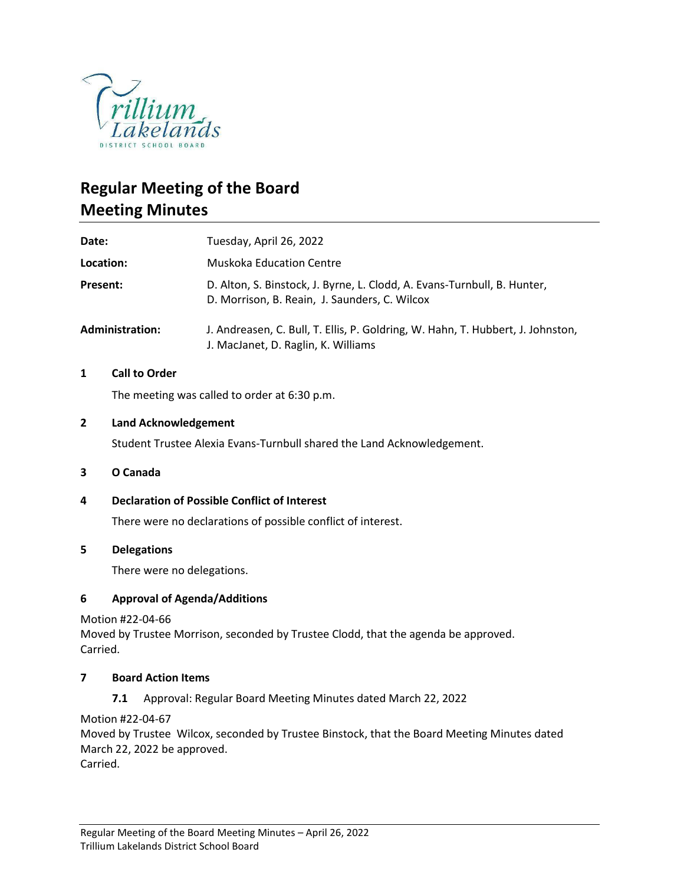

# **Regular Meeting of the Board Meeting Minutes**

| Date:                  | Tuesday, April 26, 2022                                                                                                   |
|------------------------|---------------------------------------------------------------------------------------------------------------------------|
| Location:              | <b>Muskoka Education Centre</b>                                                                                           |
| Present:               | D. Alton, S. Binstock, J. Byrne, L. Clodd, A. Evans-Turnbull, B. Hunter,<br>D. Morrison, B. Reain, J. Saunders, C. Wilcox |
| <b>Administration:</b> | J. Andreasen, C. Bull, T. Ellis, P. Goldring, W. Hahn, T. Hubbert, J. Johnston,<br>J. MacJanet, D. Raglin, K. Williams    |

### **1 Call to Order**

The meeting was called to order at 6:30 p.m.

### **2 Land Acknowledgement**

Student Trustee Alexia Evans-Turnbull shared the Land Acknowledgement.

### **3 O Canada**

### **4 Declaration of Possible Conflict of Interest**

There were no declarations of possible conflict of interest.

### **5 Delegations**

There were no delegations.

### **6 Approval of Agenda/Additions**

Motion #22-04-66

Moved by Trustee Morrison, seconded by Trustee Clodd, that the agenda be approved. Carried.

### **7 Board Action Items**

**7.1** Approval: Regular Board Meeting Minutes dated March 22, 2022

Motion #22-04-67

Moved by Trustee Wilcox, seconded by Trustee Binstock, that the Board Meeting Minutes dated March 22, 2022 be approved.

Carried.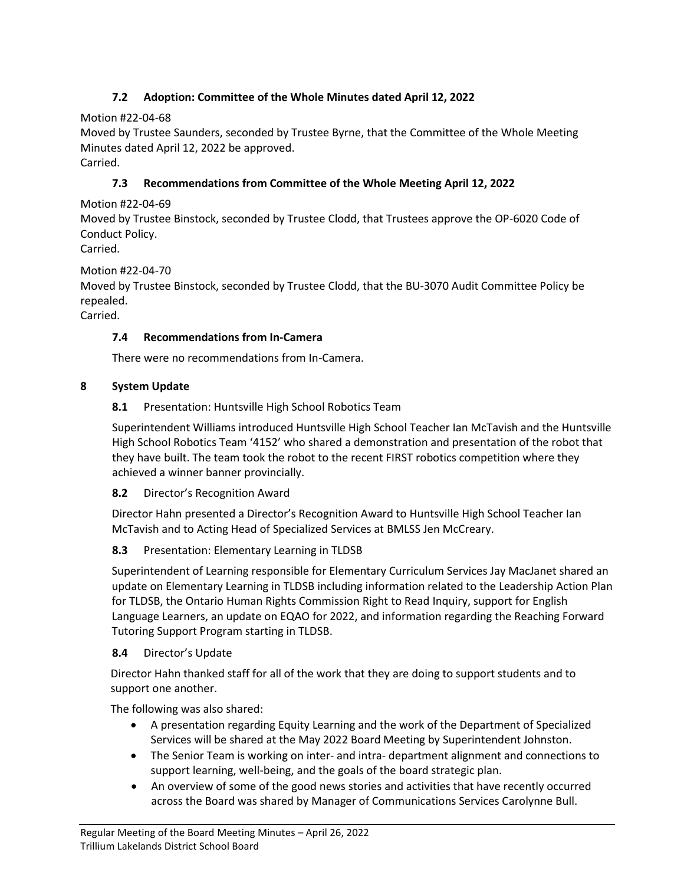# **7.2 Adoption: Committee of the Whole Minutes dated April 12, 2022**

Motion #22-04-68

Moved by Trustee Saunders, seconded by Trustee Byrne, that the Committee of the Whole Meeting Minutes dated April 12, 2022 be approved.

Carried.

# **7.3 Recommendations from Committee of the Whole Meeting April 12, 2022**

Motion #22-04-69

Moved by Trustee Binstock, seconded by Trustee Clodd, that Trustees approve the OP-6020 Code of Conduct Policy.

Carried.

# Motion #22-04-70

Moved by Trustee Binstock, seconded by Trustee Clodd, that the BU-3070 Audit Committee Policy be repealed.

Carried.

### **7.4 Recommendations from In-Camera**

There were no recommendations from In-Camera.

# **8 System Update**

# **8.1** Presentation: Huntsville High School Robotics Team

Superintendent Williams introduced Huntsville High School Teacher Ian McTavish and the Huntsville High School Robotics Team '4152' who shared a demonstration and presentation of the robot that they have built. The team took the robot to the recent FIRST robotics competition where they achieved a winner banner provincially.

### **8.2** Director's Recognition Award

Director Hahn presented a Director's Recognition Award to Huntsville High School Teacher Ian McTavish and to Acting Head of Specialized Services at BMLSS Jen McCreary.

### **8.3** Presentation: Elementary Learning in TLDSB

Superintendent of Learning responsible for Elementary Curriculum Services Jay MacJanet shared an update on Elementary Learning in TLDSB including information related to the Leadership Action Plan for TLDSB, the Ontario Human Rights Commission Right to Read Inquiry, support for English Language Learners, an update on EQAO for 2022, and information regarding the Reaching Forward Tutoring Support Program starting in TLDSB.

### **8.4** Director's Update

Director Hahn thanked staff for all of the work that they are doing to support students and to support one another.

The following was also shared:

- A presentation regarding Equity Learning and the work of the Department of Specialized Services will be shared at the May 2022 Board Meeting by Superintendent Johnston.
- The Senior Team is working on inter- and intra- department alignment and connections to support learning, well-being, and the goals of the board strategic plan.
- An overview of some of the good news stories and activities that have recently occurred across the Board was shared by Manager of Communications Services Carolynne Bull.